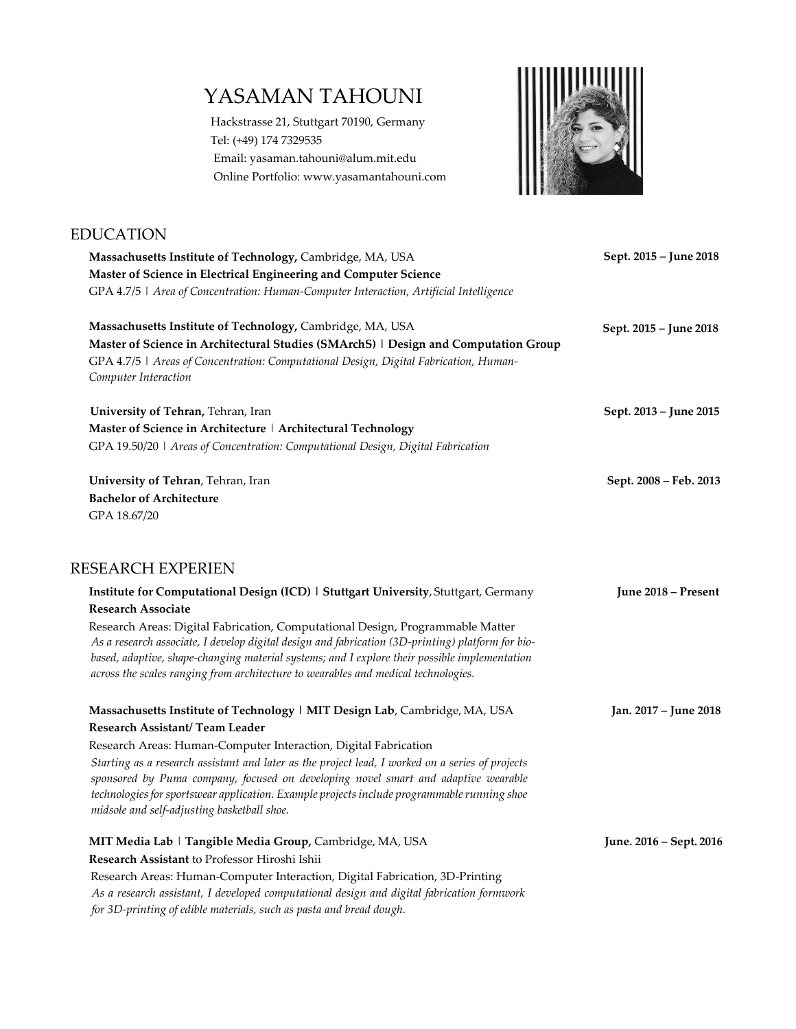# YASAMAN TAHOUNI

EDUCATION

Hackstrasse 21, Stuttgart 70190, Germany Tel: (+49) 174 7329535 Emai[l: yasaman.tahouni@](mailto:yasaman.tahouni@icd.uni-stuttgart.de)alum.mit.edu Online Portfolio: www.yasamantahouni.com



# *Starting as a research assistant and later as the project lead, I worked on a series of projects sponsored by Puma company, focused on developing novel smart and adaptive wearable technologiesfor sportswear application. Example projects include programmable running shoe midsole and self-adjusting basketball shoe. As a research associate, I develop digital design and fabrication (3D-printing) platform for biobased, adaptive, shape-changing material systems; and I explore their possible implementation across the scales ranging from architecture to wearables and medical technologies.*  **Massachusetts Institute of Technology,** Cambridge, MA, USA **Master of Science in Electrical Engineering and Computer Science** GPA 4.7/5 | *Area of Concentration: Human-Computer Interaction, Artificial Intelligence* **Massachusetts Institute of Technology,** Cambridge, MA, USA **Master of Science in Architectural Studies (SMArchS) | Design and Computation Group** GPA 4.7/5 | *Areas of Concentration: Computational Design, Digital Fabrication, Human-Computer Interaction* **Sept. 2015 – June 2018 Sept. 2015 – June 2018 University of Tehran,** Tehran, Iran **Sept. 2013 – Sept. 2013** – **June 2015 Master of Science in Architecture** | **Architectural Technology** GPA 19.50/20 | *Areas of Concentration: Computational Design, Digital Fabrication* **University of Tehran**, Tehran, Iran **Sept. 2008 – Feb. 2013 Bachelor of Architecture** GPA 18.67/20 RESEARCH EXPERIEN **Institute for Computational Design (ICD) | Stuttgart University**, Stuttgart, Germany **June 2018 – Present Research Associate** Research Areas: Digital Fabrication, Computational Design, Programmable Matter **Massachusetts Institute of Technology | MIT Design Lab**, Cambridge, MA, USA **Jan. 2017 – June 2018 Research Assistant/ Team Leader** Research Areas: Human-Computer Interaction, Digital Fabrication **MIT Media Lab** | **Tangible Media Group,** Cambridge, MA, USA **June. 2016 – Sept. 2016 Research Assistant** to Professor Hiroshi Ishii Research Areas: Human-Computer Interaction, Digital Fabrication, 3D-Printing

*As a research assistant, I developed computational design and digital fabrication formwork for 3D-printing of edible materials, such as pasta and bread dough.*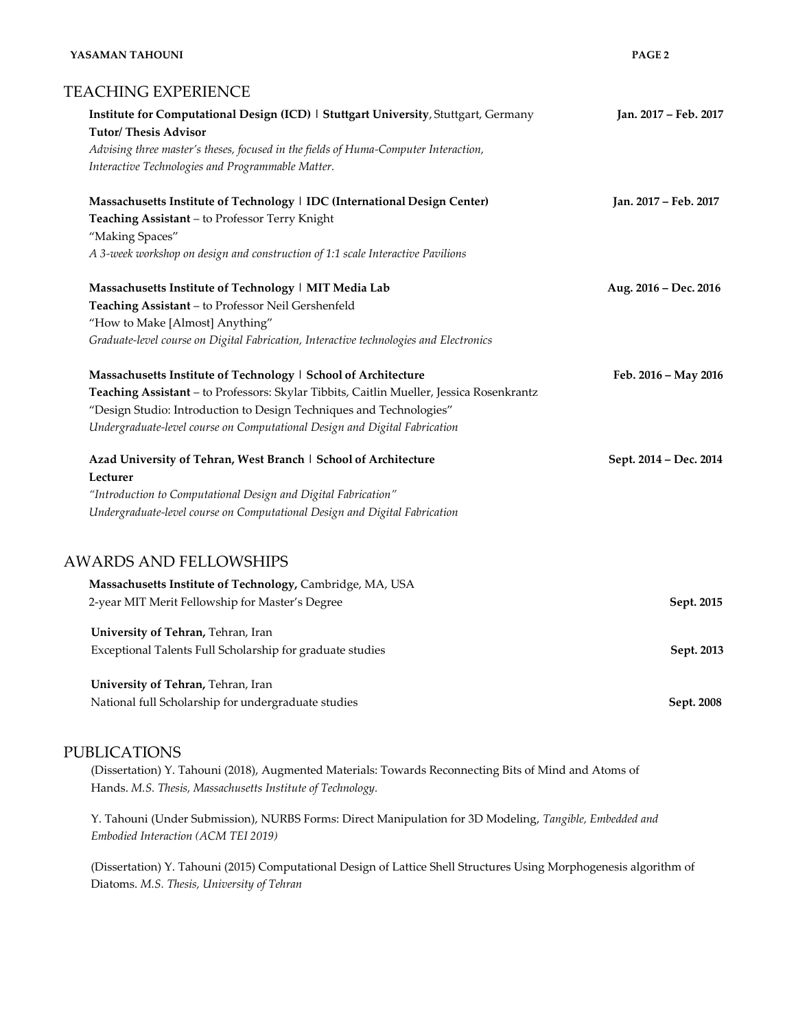#### **YASAMAN TAHOUNI PAGE 2**

# TEACHING EXPERIENCE

| Institute for Computational Design (ICD)   Stuttgart University, Stuttgart, Germany<br><b>Tutor/Thesis Advisor</b> | Jan. 2017 - Feb. 2017  |
|--------------------------------------------------------------------------------------------------------------------|------------------------|
| Advising three master's theses, focused in the fields of Huma-Computer Interaction,                                |                        |
| Interactive Technologies and Programmable Matter.                                                                  |                        |
| Massachusetts Institute of Technology   IDC (International Design Center)                                          | Jan. 2017 - Feb. 2017  |
| Teaching Assistant - to Professor Terry Knight                                                                     |                        |
| "Making Spaces"                                                                                                    |                        |
| A 3-week workshop on design and construction of 1:1 scale Interactive Pavilions                                    |                        |
| Massachusetts Institute of Technology   MIT Media Lab                                                              | Aug. 2016 - Dec. 2016  |
| Teaching Assistant - to Professor Neil Gershenfeld                                                                 |                        |
| "How to Make [Almost] Anything"                                                                                    |                        |
| Graduate-level course on Digital Fabrication, Interactive technologies and Electronics                             |                        |
| Massachusetts Institute of Technology   School of Architecture                                                     | Feb. 2016 - May 2016   |
| Teaching Assistant - to Professors: Skylar Tibbits, Caitlin Mueller, Jessica Rosenkrantz                           |                        |
| "Design Studio: Introduction to Design Techniques and Technologies"                                                |                        |
| Undergraduate-level course on Computational Design and Digital Fabrication                                         |                        |
| Azad University of Tehran, West Branch   School of Architecture                                                    | Sept. 2014 - Dec. 2014 |
| Lecturer                                                                                                           |                        |
| "Introduction to Computational Design and Digital Fabrication"                                                     |                        |
| Undergraduate-level course on Computational Design and Digital Fabrication                                         |                        |
| <b>AWARDS AND FELLOWSHIPS</b>                                                                                      |                        |
| Massachusetts Institute of Technology, Cambridge, MA, USA                                                          |                        |
| 2-year MIT Merit Fellowship for Master's Degree                                                                    | Sept. 2015             |
| University of Tehran, Tehran, Iran                                                                                 |                        |
| Exceptional Talents Full Scholarship for graduate studies                                                          | Sept. 2013             |
| University of Tehran, Tehran, Iran                                                                                 |                        |
| National full Scholarship for undergraduate studies                                                                | Sept. 2008             |

# PUBLICATIONS

(Dissertation) Y. Tahouni (2018), Augmented Materials: Towards Reconnecting Bits of Mind and Atoms of Hands. *M.S. Thesis, Massachusetts Institute of Technology.*

Y. Tahouni (Under Submission), NURBS Forms: Direct Manipulation for 3D Modeling, *Tangible, Embedded and Embodied Interaction (ACM TEI 2019)*

(Dissertation) Y. Tahouni (2015) Computational Design of Lattice Shell Structures Using Morphogenesis algorithm of Diatoms. *M.S. Thesis, University of Tehran*